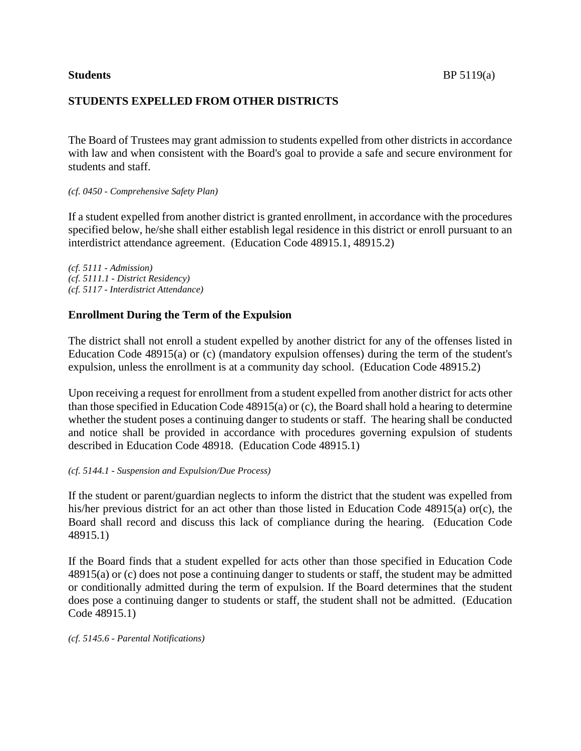# **STUDENTS EXPELLED FROM OTHER DISTRICTS**

The Board of Trustees may grant admission to students expelled from other districts in accordance with law and when consistent with the Board's goal to provide a safe and secure environment for students and staff.

## *(cf. 0450 - Comprehensive Safety Plan)*

If a student expelled from another district is granted enrollment, in accordance with the procedures specified below, he/she shall either establish legal residence in this district or enroll pursuant to an interdistrict attendance agreement. (Education Code 48915.1, 48915.2)

*(cf. 5111 - Admission) (cf. 5111.1 - District Residency) (cf. 5117 - Interdistrict Attendance)*

## **Enrollment During the Term of the Expulsion**

The district shall not enroll a student expelled by another district for any of the offenses listed in Education Code 48915(a) or (c) (mandatory expulsion offenses) during the term of the student's expulsion, unless the enrollment is at a community day school. (Education Code 48915.2)

Upon receiving a request for enrollment from a student expelled from another district for acts other than those specified in Education Code 48915(a) or (c), the Board shall hold a hearing to determine whether the student poses a continuing danger to students or staff. The hearing shall be conducted and notice shall be provided in accordance with procedures governing expulsion of students described in Education Code 48918. (Education Code 48915.1)

## *(cf. 5144.1 - Suspension and Expulsion/Due Process)*

If the student or parent/guardian neglects to inform the district that the student was expelled from his/her previous district for an act other than those listed in Education Code 48915(a) or(c), the Board shall record and discuss this lack of compliance during the hearing. (Education Code 48915.1)

If the Board finds that a student expelled for acts other than those specified in Education Code 48915(a) or (c) does not pose a continuing danger to students or staff, the student may be admitted or conditionally admitted during the term of expulsion. If the Board determines that the student does pose a continuing danger to students or staff, the student shall not be admitted. (Education Code 48915.1)

*(cf. 5145.6 - Parental Notifications)*